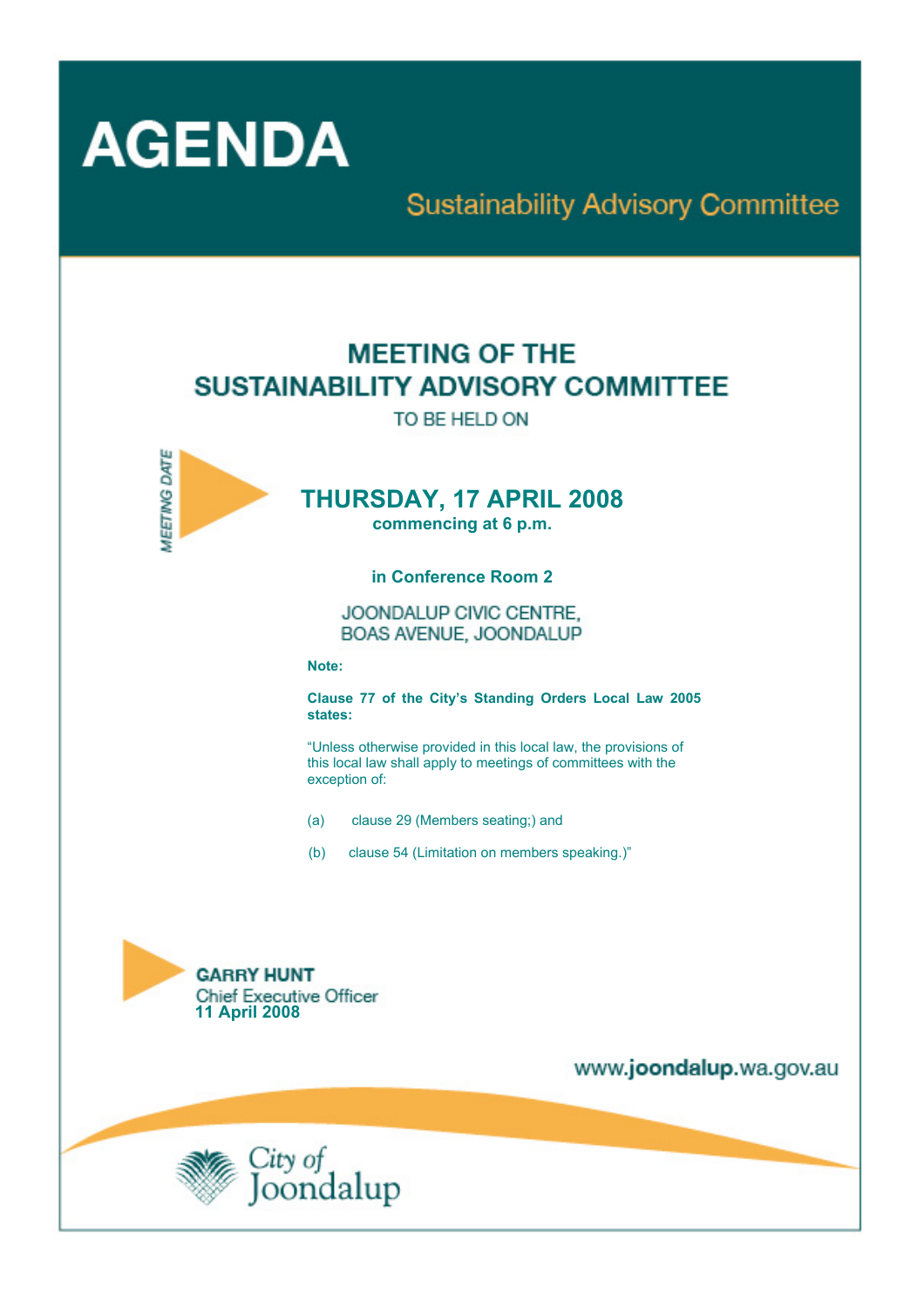

# **Sustainability Advisory Committee**

# **MEETING OF THE SUSTAINABILITY ADVISORY COMMITTEE**

TO BE HELD ON



# **THURSDAY, 17 APRIL 2008**

**commencing at 6 p.m.** 

**in Conference Room 2** 

JOONDALUP CIVIC CENTRE. BOAS AVENUE, JOONDALUP

**Note:** 

**Clause 77 of the City's Standing Orders Local Law 2005 states:** 

"Unless otherwise provided in this local law, the provisions of this local law shall apply to meetings of committees with the exception of:

- (a) clause 29 (Members seating;) and
- (b) clause 54 (Limitation on members speaking.)"



www.joondalup.wa.gov.au

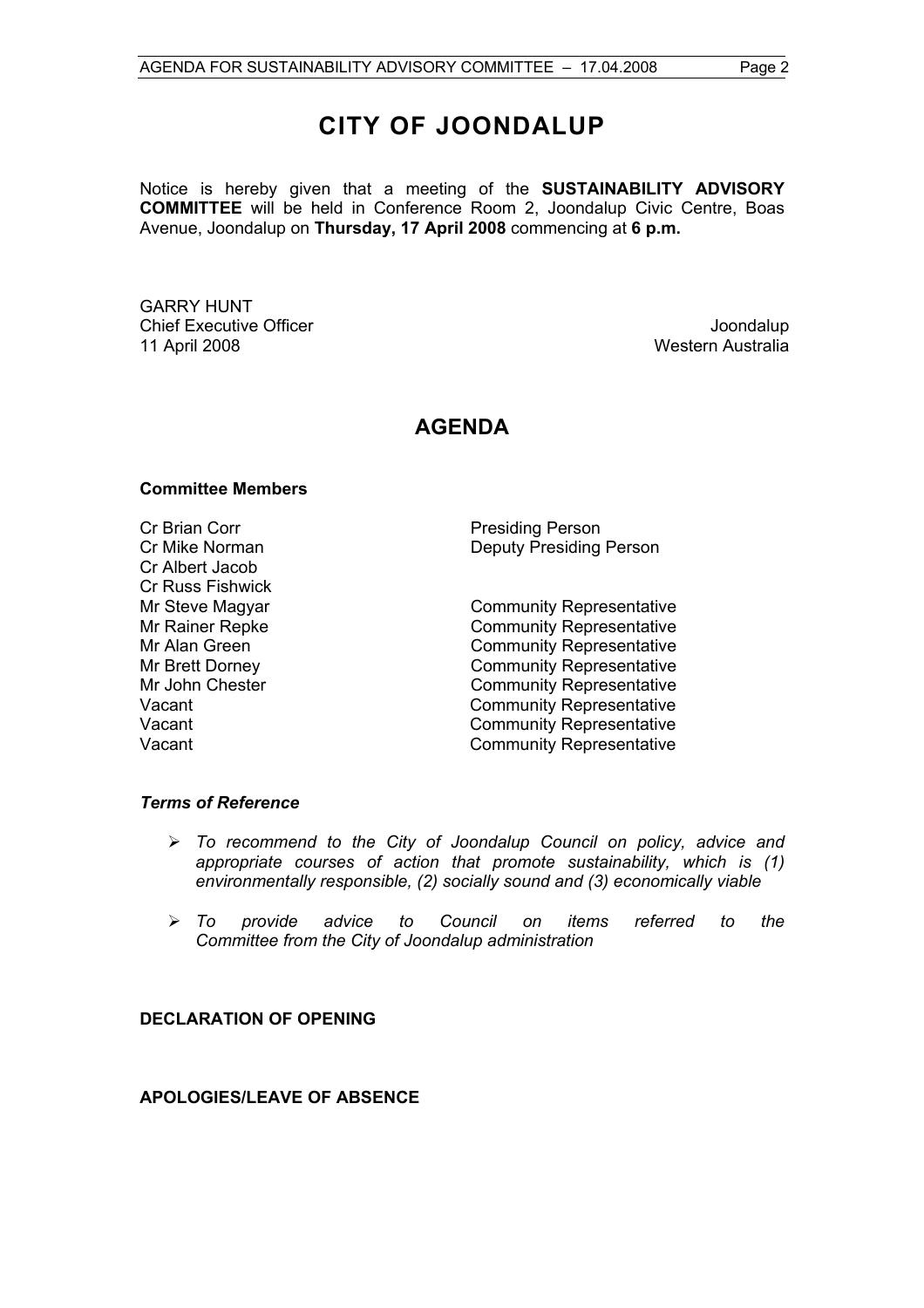# **CITY OF JOONDALUP**

Notice is hereby given that a meeting of the **SUSTAINABILITY ADVISORY COMMITTEE** will be held in Conference Room 2, Joondalup Civic Centre, Boas Avenue, Joondalup on **Thursday, 17 April 2008** commencing at **6 p.m.** 

GARRY HUNT Chief Executive Officer **Joondalup** 11 April 2008 Western Australia

# **AGENDA**

#### **Committee Members**

Cr Brian Corr **Presiding Person** Cr Albert Jacob Cr Russ Fishwick

Cr Mike Norman Deputy Presiding Person

Mr Steve Magyar **Community Representative** Mr Rainer Repke **Community Representative** Mr Alan Green **Community Representative** Mr Brett Dorney **Community Representative** Mr John Chester **Community Representative**<br>Vacant Community Representative Community Representative Vacant Vacant Community Representative Vacant Vacant Community Representative

#### *Terms of Reference*

- ¾ *To recommend to the City of Joondalup Council on policy, advice and appropriate courses of action that promote sustainability, which is (1) environmentally responsible, (2) socially sound and (3) economically viable*
- ¾ *To provide advice to Council on items referred to the Committee from the City of Joondalup administration*

# **DECLARATION OF OPENING**

# **APOLOGIES/LEAVE OF ABSENCE**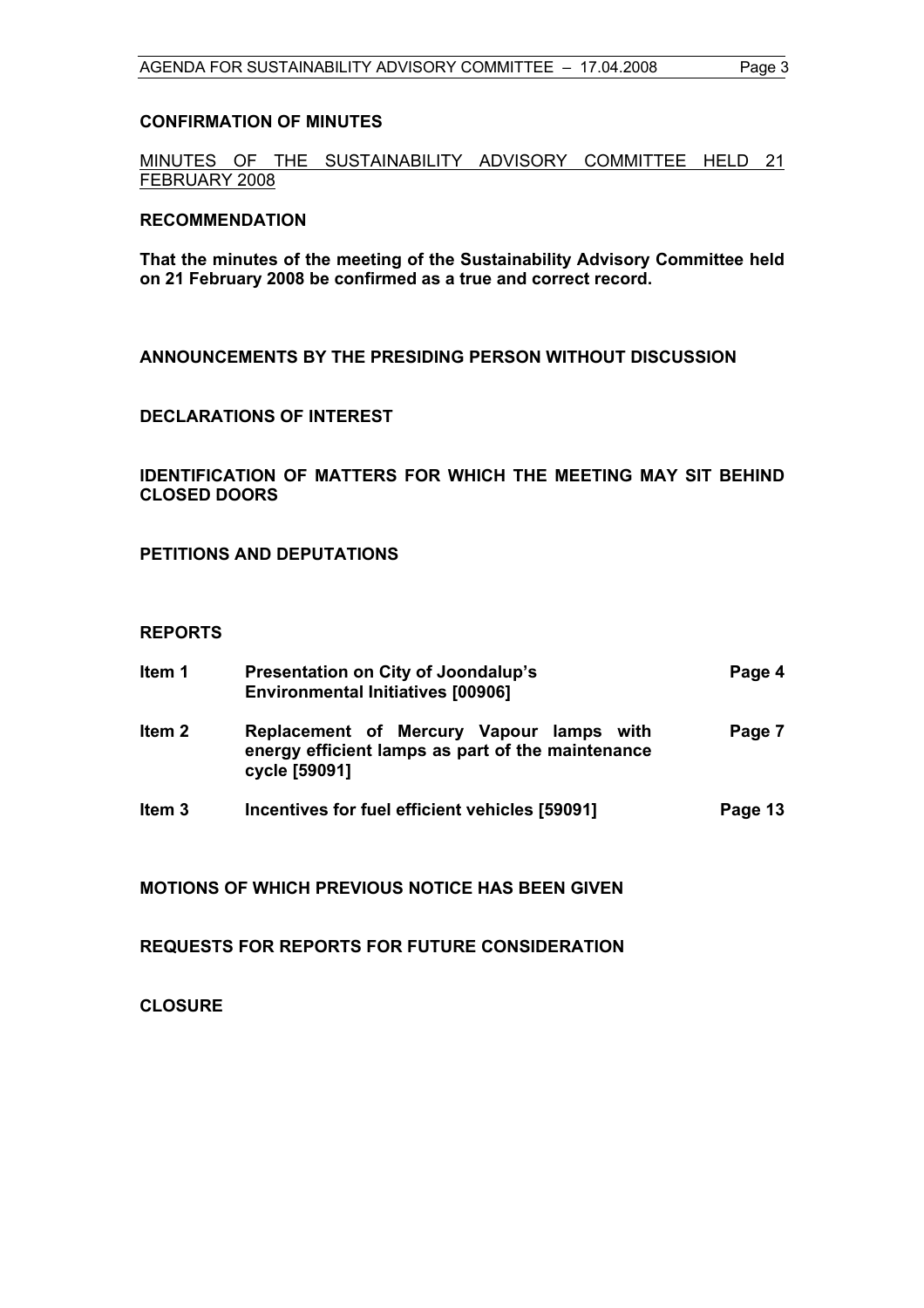#### **CONFIRMATION OF MINUTES**

MINUTES OF THE SUSTAINABILITY ADVISORY COMMITTEE HELD 21 FEBRUARY 2008

#### **RECOMMENDATION**

**That the minutes of the meeting of the Sustainability Advisory Committee held on 21 February 2008 be confirmed as a true and correct record.** 

**ANNOUNCEMENTS BY THE PRESIDING PERSON WITHOUT DISCUSSION** 

#### **DECLARATIONS OF INTEREST**

**IDENTIFICATION OF MATTERS FOR WHICH THE MEETING MAY SIT BEHIND CLOSED DOORS** 

**PETITIONS AND DEPUTATIONS** 

#### **REPORTS**

| ltem 1            | <b>Presentation on City of Joondalup's</b><br><b>Environmental Initiatives [00906]</b>                         |         |  |  |  |
|-------------------|----------------------------------------------------------------------------------------------------------------|---------|--|--|--|
| ltem 2            | Replacement of Mercury Vapour lamps with<br>energy efficient lamps as part of the maintenance<br>cycle [59091] | Page 7  |  |  |  |
| Item <sub>3</sub> | Incentives for fuel efficient vehicles [59091]                                                                 | Page 13 |  |  |  |

**MOTIONS OF WHICH PREVIOUS NOTICE HAS BEEN GIVEN** 

**REQUESTS FOR REPORTS FOR FUTURE CONSIDERATION** 

**CLOSURE**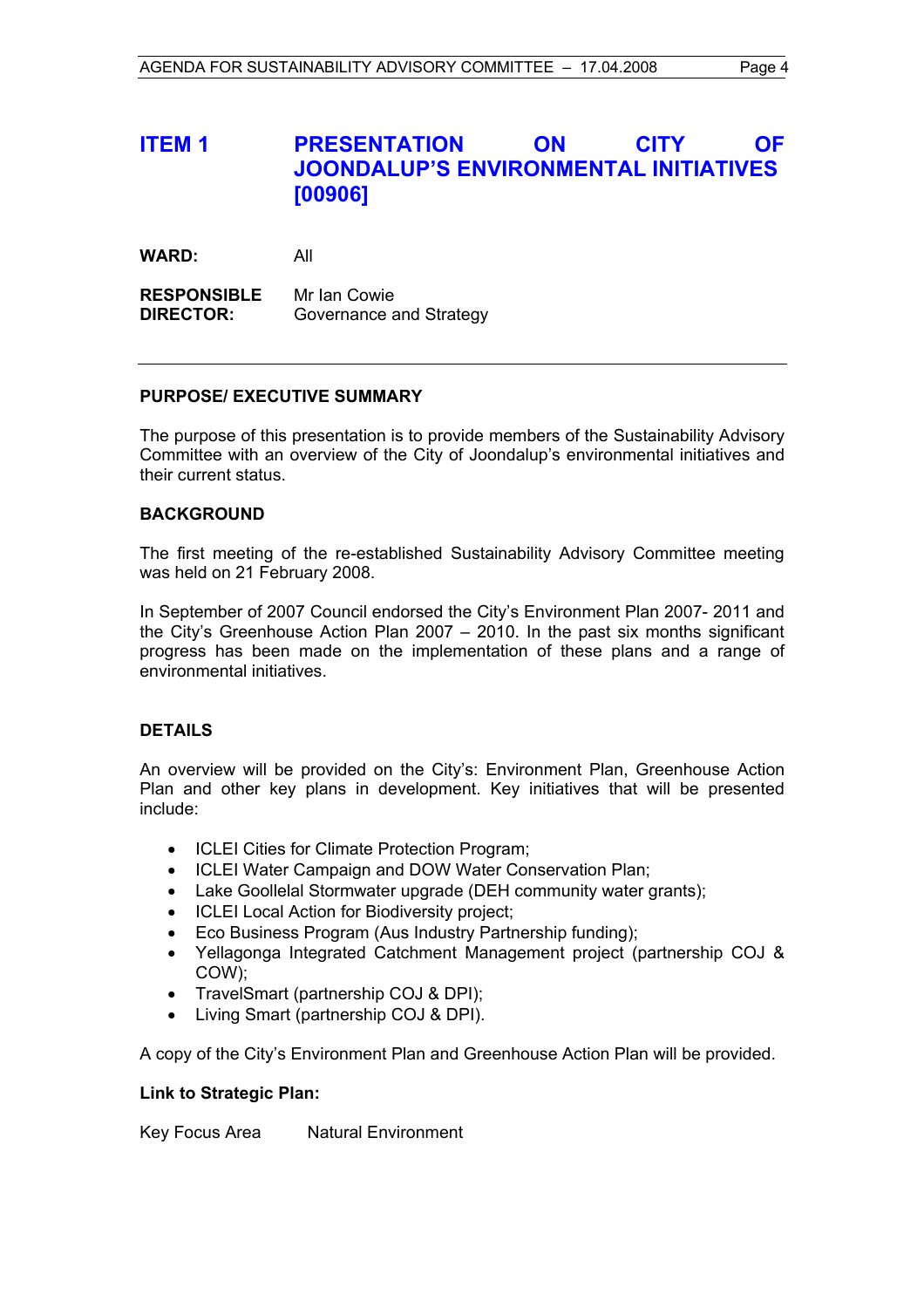# **ITEM 1 PRESENTATION ON CITY OF JOONDALUP'S ENVIRONMENTAL INITIATIVES [00906]**

**WARD:** All

**RESPONSIBLE** Mr Ian Cowie **DIRECTOR:** Governance and Strategy

#### **PURPOSE/ EXECUTIVE SUMMARY**

The purpose of this presentation is to provide members of the Sustainability Advisory Committee with an overview of the City of Joondalup's environmental initiatives and their current status.

#### **BACKGROUND**

The first meeting of the re-established Sustainability Advisory Committee meeting was held on 21 February 2008.

In September of 2007 Council endorsed the City's Environment Plan 2007- 2011 and the City's Greenhouse Action Plan 2007 – 2010. In the past six months significant progress has been made on the implementation of these plans and a range of environmental initiatives.

# **DETAILS**

An overview will be provided on the City's: Environment Plan, Greenhouse Action Plan and other key plans in development. Key initiatives that will be presented include:

- ICLEI Cities for Climate Protection Program;
- ICLEI Water Campaign and DOW Water Conservation Plan;
- Lake Goollelal Stormwater upgrade (DEH community water grants);
- ICLEI Local Action for Biodiversity project;
- Eco Business Program (Aus Industry Partnership funding);
- Yellagonga Integrated Catchment Management project (partnership COJ & COW);
- TravelSmart (partnership COJ & DPI);
- Living Smart (partnership COJ & DPI).

A copy of the City's Environment Plan and Greenhouse Action Plan will be provided.

#### **Link to Strategic Plan:**

Key Focus Area Natural Environment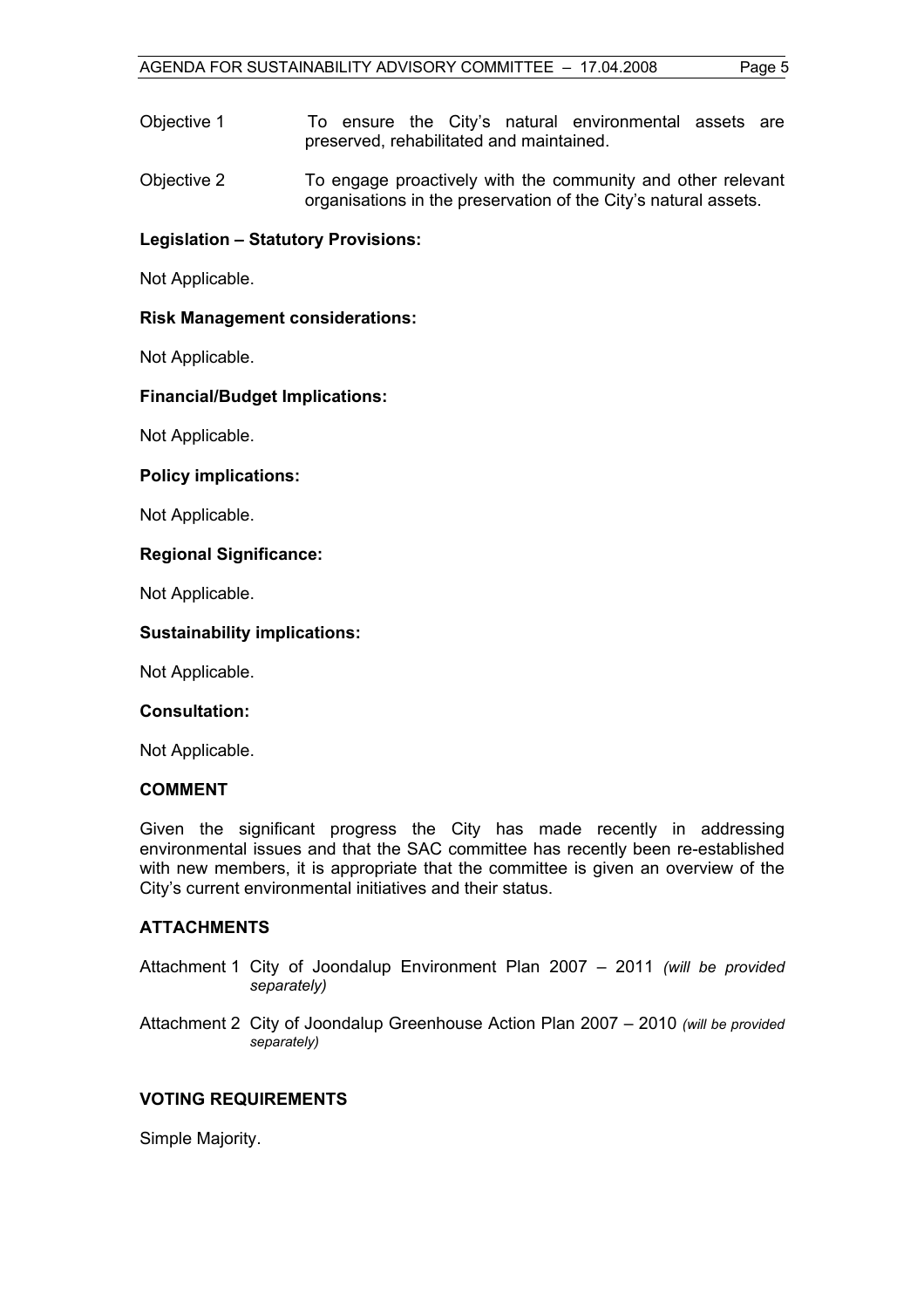Objective 1 To ensure the City's natural environmental assets are preserved, rehabilitated and maintained.

Objective 2 To engage proactively with the community and other relevant organisations in the preservation of the City's natural assets.

# **Legislation – Statutory Provisions:**

Not Applicable.

# **Risk Management considerations:**

Not Applicable.

# **Financial/Budget Implications:**

Not Applicable.

# **Policy implications:**

Not Applicable.

# **Regional Significance:**

Not Applicable.

# **Sustainability implications:**

Not Applicable.

# **Consultation:**

Not Applicable.

# **COMMENT**

Given the significant progress the City has made recently in addressing environmental issues and that the SAC committee has recently been re-established with new members, it is appropriate that the committee is given an overview of the City's current environmental initiatives and their status.

# **ATTACHMENTS**

- Attachment 1 City of Joondalup Environment Plan 2007 2011 *(will be provided separately)*
- Attachment 2 City of Joondalup Greenhouse Action Plan 2007 2010 *(will be provided separately)*

# **VOTING REQUIREMENTS**

Simple Majority.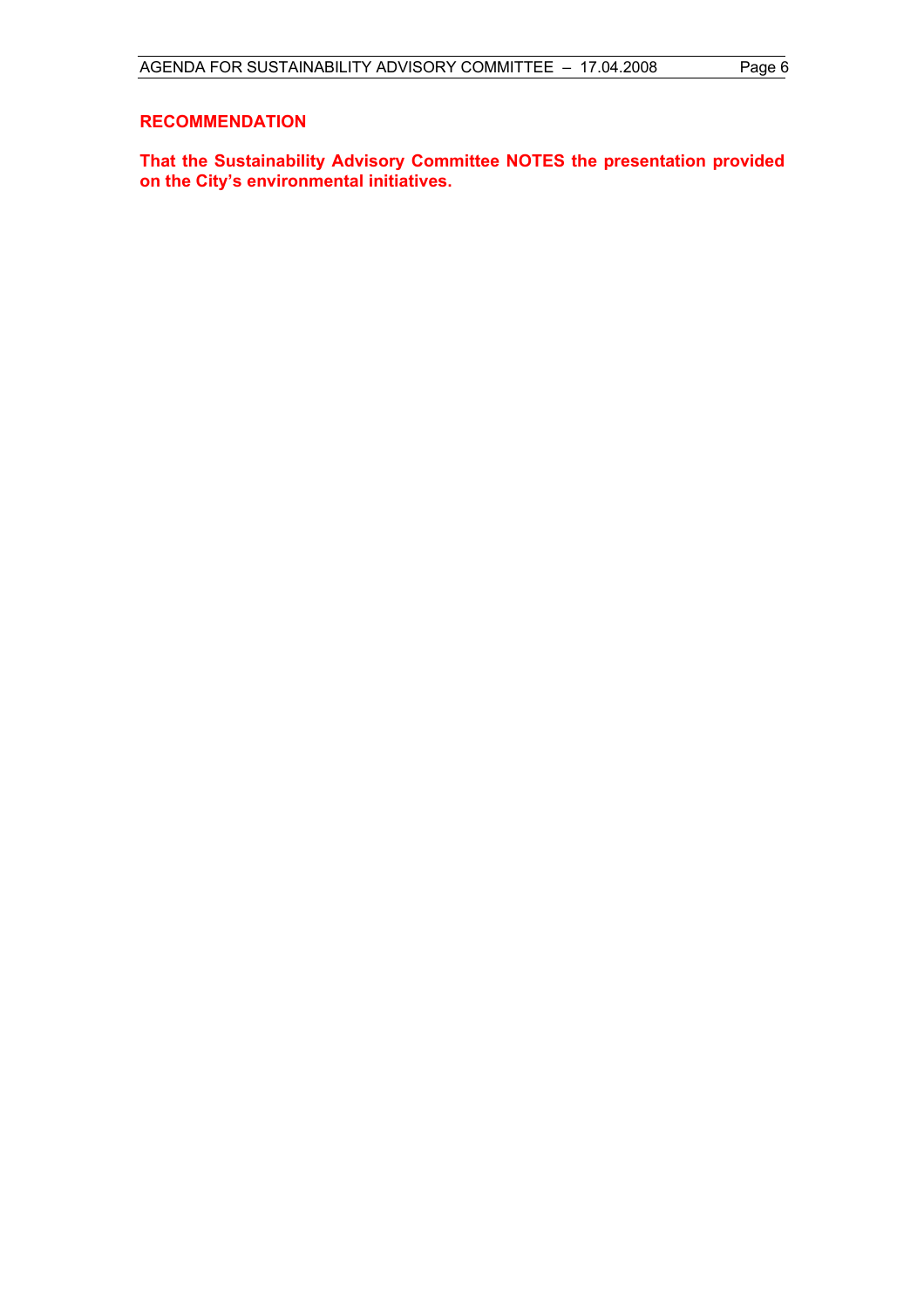### **RECOMMENDATION**

**That the Sustainability Advisory Committee NOTES the presentation provided on the City's environmental initiatives.**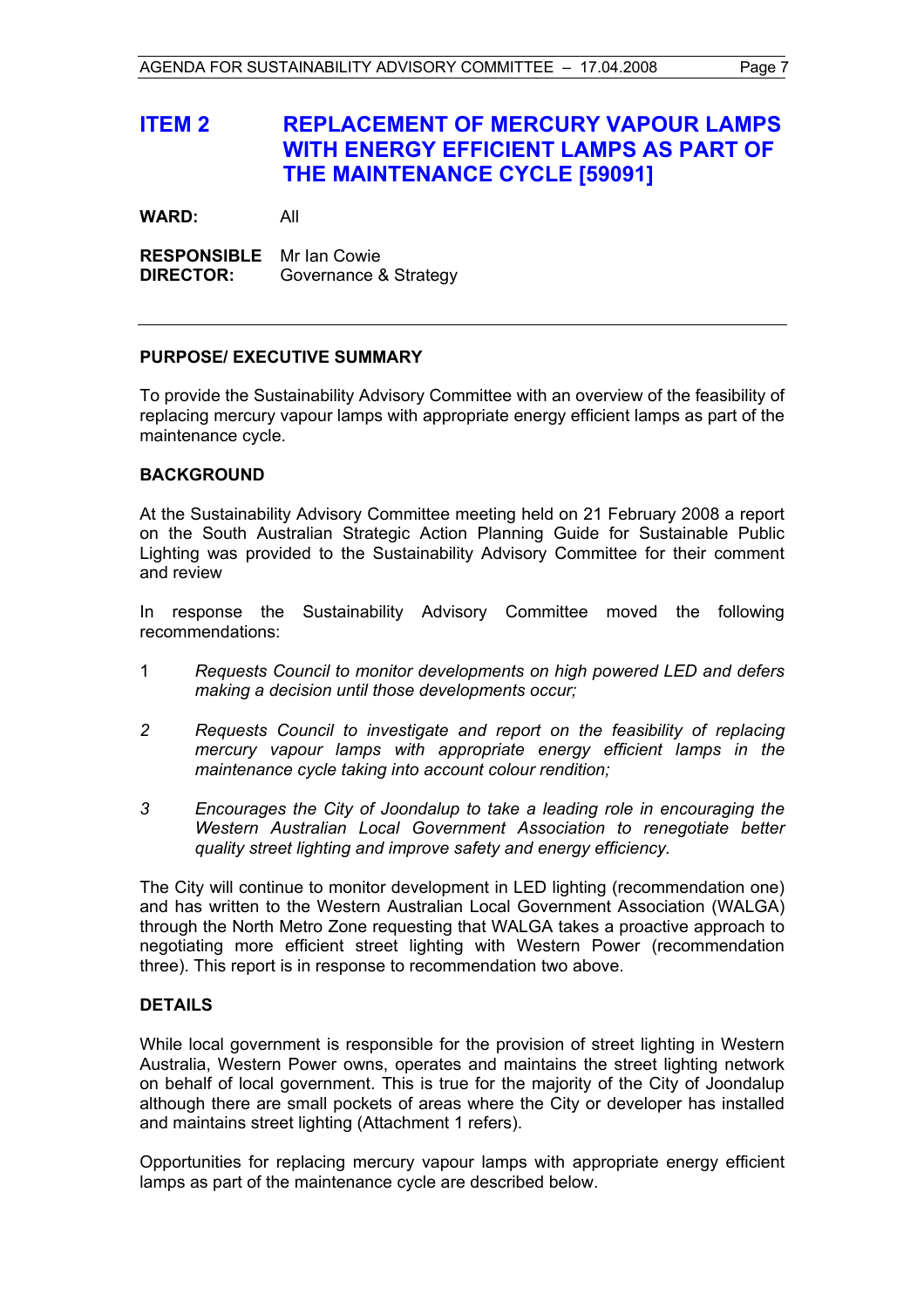# **ITEM 2 REPLACEMENT OF MERCURY VAPOUR LAMPS WITH ENERGY EFFICIENT LAMPS AS PART OF THE MAINTENANCE CYCLE [59091]**

**WARD:** All

**RESPONSIBLE** Mr Ian Cowie **DIRECTOR:** Governance & Strategy

# **PURPOSE/ EXECUTIVE SUMMARY**

To provide the Sustainability Advisory Committee with an overview of the feasibility of replacing mercury vapour lamps with appropriate energy efficient lamps as part of the maintenance cycle.

#### **BACKGROUND**

At the Sustainability Advisory Committee meeting held on 21 February 2008 a report on the South Australian Strategic Action Planning Guide for Sustainable Public Lighting was provided to the Sustainability Advisory Committee for their comment and review

In response the Sustainability Advisory Committee moved the following recommendations:

- 1 *Requests Council to monitor developments on high powered LED and defers making a decision until those developments occur;*
- *2 Requests Council to investigate and report on the feasibility of replacing mercury vapour lamps with appropriate energy efficient lamps in the maintenance cycle taking into account colour rendition;*
- *3 Encourages the City of Joondalup to take a leading role in encouraging the Western Australian Local Government Association to renegotiate better quality street lighting and improve safety and energy efficiency.*

The City will continue to monitor development in LED lighting (recommendation one) and has written to the Western Australian Local Government Association (WALGA) through the North Metro Zone requesting that WALGA takes a proactive approach to negotiating more efficient street lighting with Western Power (recommendation three). This report is in response to recommendation two above.

# **DETAILS**

While local government is responsible for the provision of street lighting in Western Australia, Western Power owns, operates and maintains the street lighting network on behalf of local government. This is true for the majority of the City of Joondalup although there are small pockets of areas where the City or developer has installed and maintains street lighting (Attachment 1 refers).

Opportunities for replacing mercury vapour lamps with appropriate energy efficient lamps as part of the maintenance cycle are described below.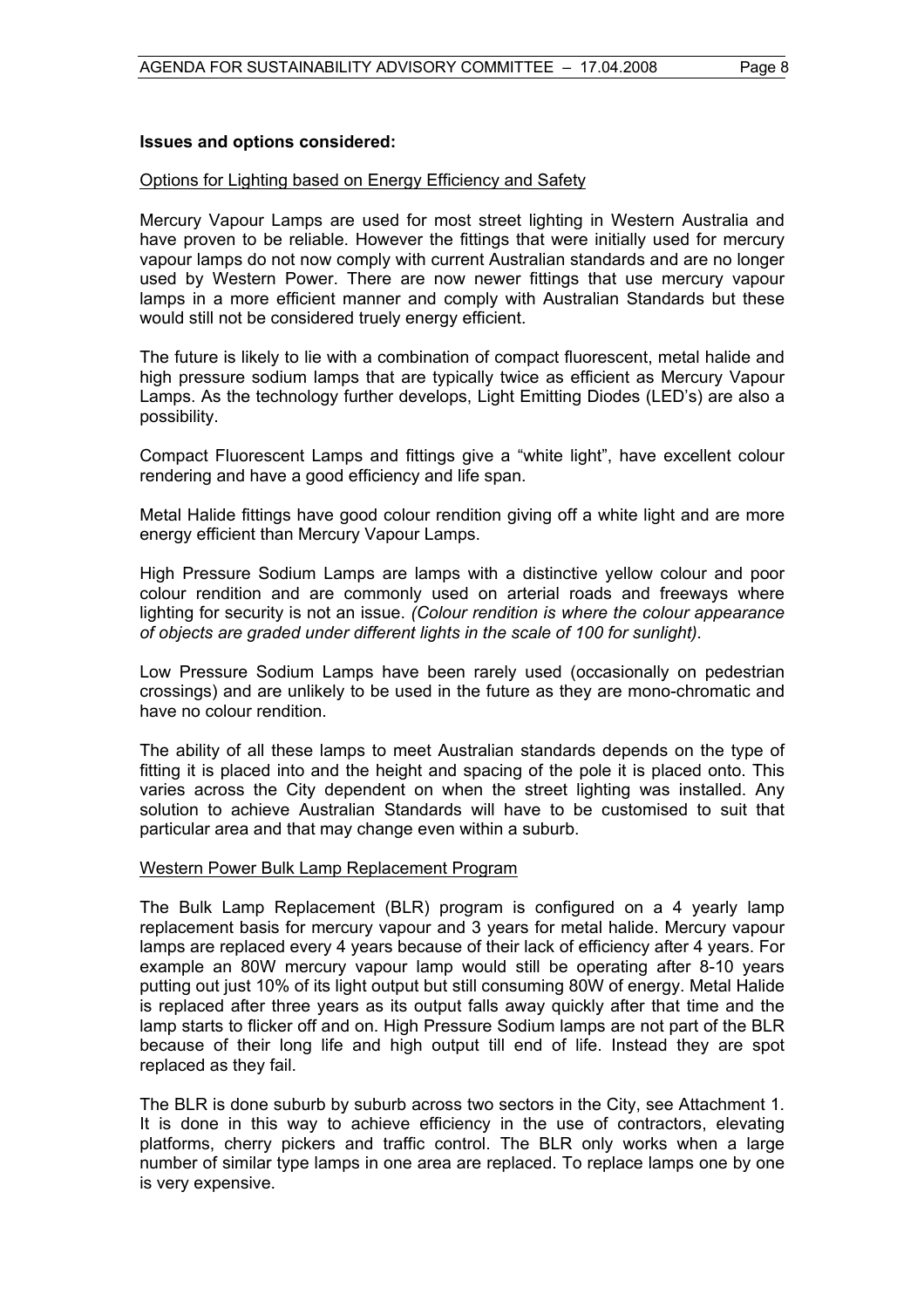### **Issues and options considered:**

#### Options for Lighting based on Energy Efficiency and Safety

Mercury Vapour Lamps are used for most street lighting in Western Australia and have proven to be reliable. However the fittings that were initially used for mercury vapour lamps do not now comply with current Australian standards and are no longer used by Western Power. There are now newer fittings that use mercury vapour lamps in a more efficient manner and comply with Australian Standards but these would still not be considered truely energy efficient.

The future is likely to lie with a combination of compact fluorescent, metal halide and high pressure sodium lamps that are typically twice as efficient as Mercury Vapour Lamps. As the technology further develops, Light Emitting Diodes (LED's) are also a possibility.

Compact Fluorescent Lamps and fittings give a "white light", have excellent colour rendering and have a good efficiency and life span.

Metal Halide fittings have good colour rendition giving off a white light and are more energy efficient than Mercury Vapour Lamps.

High Pressure Sodium Lamps are lamps with a distinctive yellow colour and poor colour rendition and are commonly used on arterial roads and freeways where lighting for security is not an issue. *(Colour rendition is where the colour appearance of objects are graded under different lights in the scale of 100 for sunlight).* 

Low Pressure Sodium Lamps have been rarely used (occasionally on pedestrian crossings) and are unlikely to be used in the future as they are mono-chromatic and have no colour rendition.

The ability of all these lamps to meet Australian standards depends on the type of fitting it is placed into and the height and spacing of the pole it is placed onto. This varies across the City dependent on when the street lighting was installed. Any solution to achieve Australian Standards will have to be customised to suit that particular area and that may change even within a suburb.

#### Western Power Bulk Lamp Replacement Program

The Bulk Lamp Replacement (BLR) program is configured on a 4 yearly lamp replacement basis for mercury vapour and 3 years for metal halide. Mercury vapour lamps are replaced every 4 years because of their lack of efficiency after 4 years. For example an 80W mercury vapour lamp would still be operating after 8-10 years putting out just 10% of its light output but still consuming 80W of energy. Metal Halide is replaced after three years as its output falls away quickly after that time and the lamp starts to flicker off and on. High Pressure Sodium lamps are not part of the BLR because of their long life and high output till end of life. Instead they are spot replaced as they fail.

The BLR is done suburb by suburb across two sectors in the City, see Attachment 1. It is done in this way to achieve efficiency in the use of contractors, elevating platforms, cherry pickers and traffic control. The BLR only works when a large number of similar type lamps in one area are replaced. To replace lamps one by one is very expensive.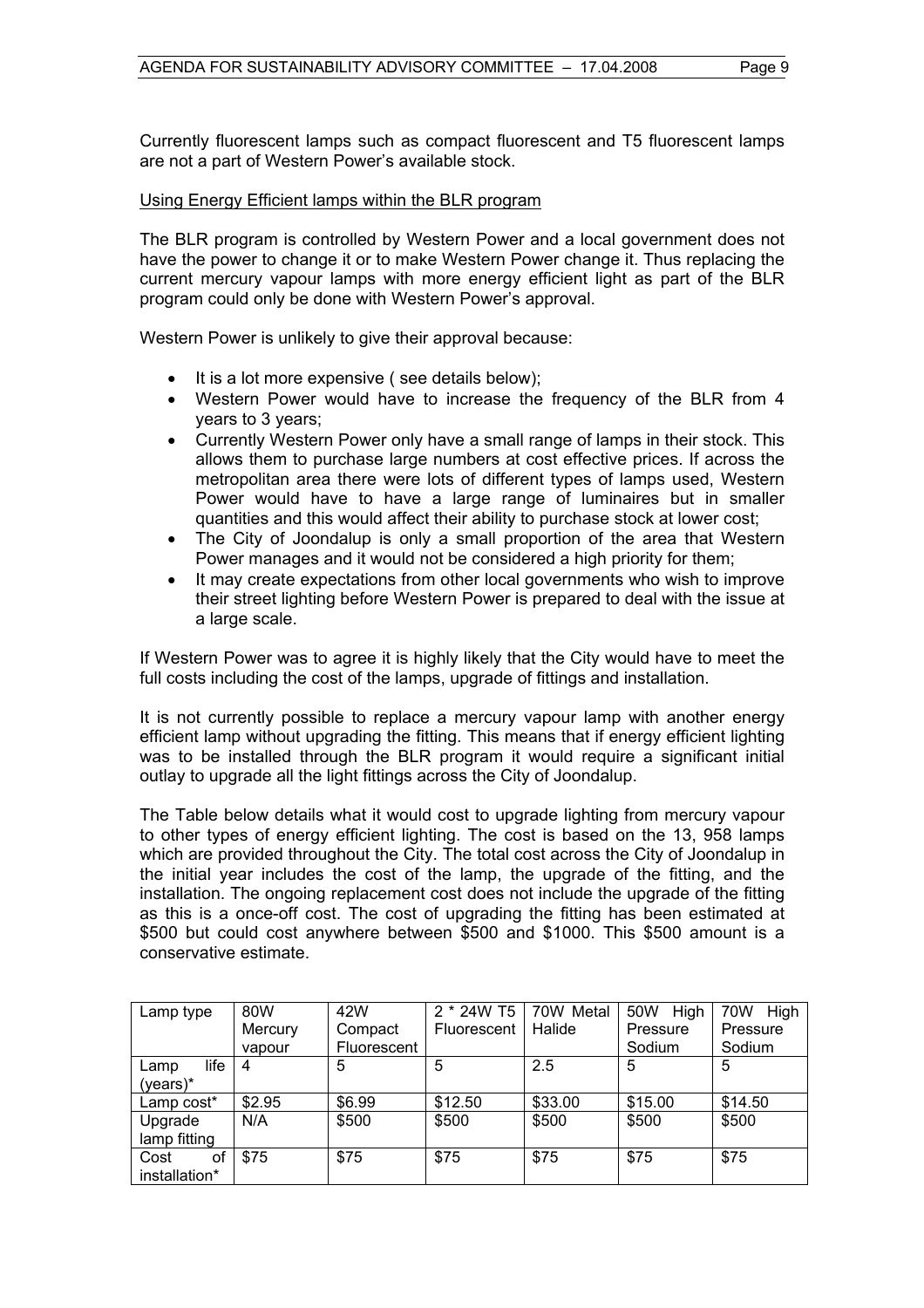Currently fluorescent lamps such as compact fluorescent and T5 fluorescent lamps are not a part of Western Power's available stock.

#### Using Energy Efficient lamps within the BLR program

The BLR program is controlled by Western Power and a local government does not have the power to change it or to make Western Power change it. Thus replacing the current mercury vapour lamps with more energy efficient light as part of the BLR program could only be done with Western Power's approval.

Western Power is unlikely to give their approval because:

- It is a lot more expensive (see details below);
- Western Power would have to increase the frequency of the BLR from 4 years to 3 years;
- Currently Western Power only have a small range of lamps in their stock. This allows them to purchase large numbers at cost effective prices. If across the metropolitan area there were lots of different types of lamps used, Western Power would have to have a large range of luminaires but in smaller quantities and this would affect their ability to purchase stock at lower cost;
- The City of Joondalup is only a small proportion of the area that Western Power manages and it would not be considered a high priority for them;
- It may create expectations from other local governments who wish to improve their street lighting before Western Power is prepared to deal with the issue at a large scale.

If Western Power was to agree it is highly likely that the City would have to meet the full costs including the cost of the lamps, upgrade of fittings and installation.

It is not currently possible to replace a mercury vapour lamp with another energy efficient lamp without upgrading the fitting. This means that if energy efficient lighting was to be installed through the BLR program it would require a significant initial outlay to upgrade all the light fittings across the City of Joondalup.

The Table below details what it would cost to upgrade lighting from mercury vapour to other types of energy efficient lighting. The cost is based on the 13, 958 lamps which are provided throughout the City. The total cost across the City of Joondalup in the initial year includes the cost of the lamp, the upgrade of the fitting, and the installation. The ongoing replacement cost does not include the upgrade of the fitting as this is a once-off cost. The cost of upgrading the fitting has been estimated at \$500 but could cost anywhere between \$500 and \$1000. This \$500 amount is a conservative estimate.

| Lamp type     | 80W     | 42W         | 2 * 24W T5  | 70W Metal | 50W<br>High | 70W<br>High |  |
|---------------|---------|-------------|-------------|-----------|-------------|-------------|--|
|               | Mercury | Compact     | Fluorescent | Halide    | Pressure    | Pressure    |  |
|               | vapour  | Fluorescent |             |           | Sodium      | Sodium      |  |
| life<br>Lamp  | 4       | 5           | 5           | 2.5       | 5           | 5           |  |
| $(years)^*$   |         |             |             |           |             |             |  |
| Lamp cost*    | \$2.95  | \$6.99      | \$12.50     | \$33.00   | \$15.00     | \$14.50     |  |
| Upgrade       | N/A     | \$500       | \$500       | \$500     | \$500       | \$500       |  |
| lamp fitting  |         |             |             |           |             |             |  |
| Cost<br>οf    | \$75    | \$75        | \$75        | \$75      | \$75        | \$75        |  |
| installation* |         |             |             |           |             |             |  |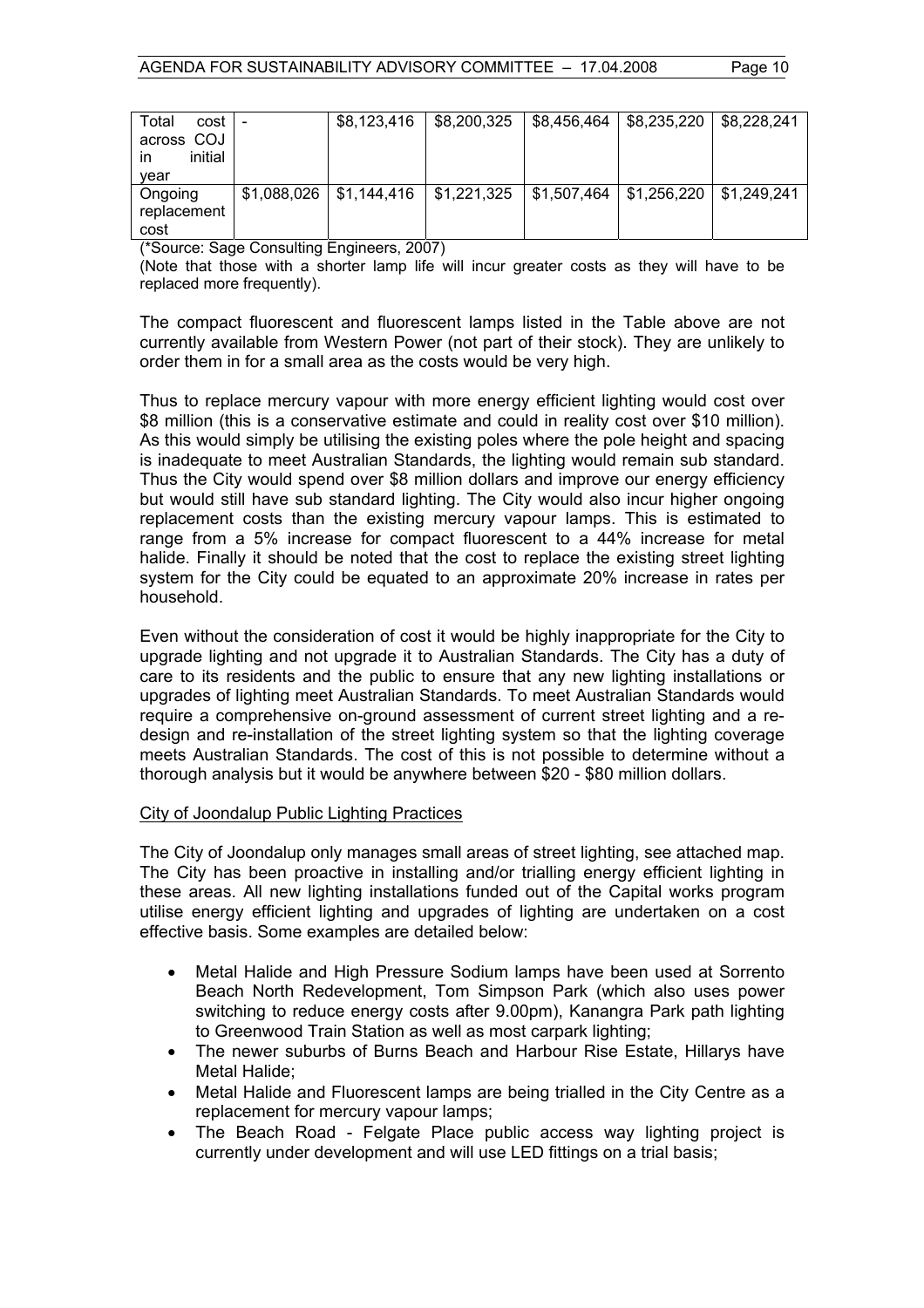| Total<br>cost l |             | \$8,123,416 | $\frac{1}{2}$ \$8,200,325 | \$8,456,464               | \$8,235,220 | \$8.228.241 |
|-----------------|-------------|-------------|---------------------------|---------------------------|-------------|-------------|
| across COJ      |             |             |                           |                           |             |             |
| initial<br>ın   |             |             |                           |                           |             |             |
| vear            |             |             |                           |                           |             |             |
| Ongoing         | \$1,088,026 | \$1,144,416 | $\frac{1}{2}$ \$1,221,325 | $\frac{1}{2}$ \$1,507,464 | \$1,256,220 | \$1.249.241 |
| replacement     |             |             |                           |                           |             |             |
| cost            |             |             |                           |                           |             |             |

(\*Source: Sage Consulting Engineers, 2007)

(Note that those with a shorter lamp life will incur greater costs as they will have to be replaced more frequently).

The compact fluorescent and fluorescent lamps listed in the Table above are not currently available from Western Power (not part of their stock). They are unlikely to order them in for a small area as the costs would be very high.

Thus to replace mercury vapour with more energy efficient lighting would cost over \$8 million (this is a conservative estimate and could in reality cost over \$10 million). As this would simply be utilising the existing poles where the pole height and spacing is inadequate to meet Australian Standards, the lighting would remain sub standard. Thus the City would spend over \$8 million dollars and improve our energy efficiency but would still have sub standard lighting. The City would also incur higher ongoing replacement costs than the existing mercury vapour lamps. This is estimated to range from a 5% increase for compact fluorescent to a 44% increase for metal halide. Finally it should be noted that the cost to replace the existing street lighting system for the City could be equated to an approximate 20% increase in rates per household.

Even without the consideration of cost it would be highly inappropriate for the City to upgrade lighting and not upgrade it to Australian Standards. The City has a duty of care to its residents and the public to ensure that any new lighting installations or upgrades of lighting meet Australian Standards. To meet Australian Standards would require a comprehensive on-ground assessment of current street lighting and a redesign and re-installation of the street lighting system so that the lighting coverage meets Australian Standards. The cost of this is not possible to determine without a thorough analysis but it would be anywhere between \$20 - \$80 million dollars.

#### City of Joondalup Public Lighting Practices

The City of Joondalup only manages small areas of street lighting, see attached map. The City has been proactive in installing and/or trialling energy efficient lighting in these areas. All new lighting installations funded out of the Capital works program utilise energy efficient lighting and upgrades of lighting are undertaken on a cost effective basis. Some examples are detailed below:

- Metal Halide and High Pressure Sodium lamps have been used at Sorrento Beach North Redevelopment, Tom Simpson Park (which also uses power switching to reduce energy costs after 9.00pm), Kanangra Park path lighting to Greenwood Train Station as well as most carpark lighting;
- The newer suburbs of Burns Beach and Harbour Rise Estate, Hillarys have Metal Halide;
- Metal Halide and Fluorescent lamps are being trialled in the City Centre as a replacement for mercury vapour lamps;
- The Beach Road Felgate Place public access way lighting project is currently under development and will use LED fittings on a trial basis;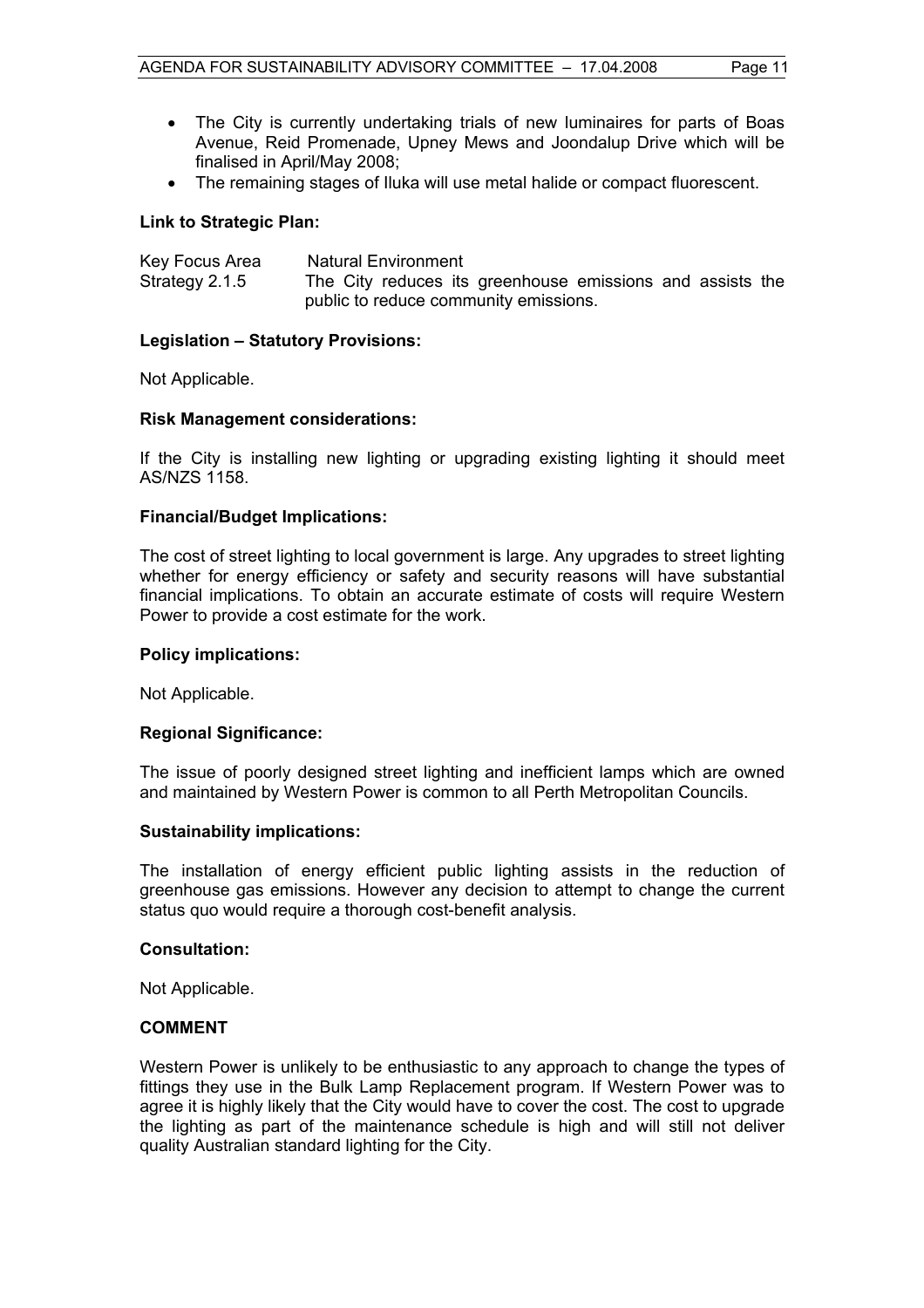- The City is currently undertaking trials of new luminaires for parts of Boas Avenue, Reid Promenade, Upney Mews and Joondalup Drive which will be finalised in April/May 2008;
- The remaining stages of Iluka will use metal halide or compact fluorescent.

#### **Link to Strategic Plan:**

| Key Focus Area |  | Natural Environment |                                                           |  |  |
|----------------|--|---------------------|-----------------------------------------------------------|--|--|
| Strategy 2.1.5 |  |                     | The City reduces its greenhouse emissions and assists the |  |  |
|                |  |                     | public to reduce community emissions.                     |  |  |

#### **Legislation – Statutory Provisions:**

Not Applicable.

#### **Risk Management considerations:**

If the City is installing new lighting or upgrading existing lighting it should meet AS/NZS 1158.

#### **Financial/Budget Implications:**

The cost of street lighting to local government is large. Any upgrades to street lighting whether for energy efficiency or safety and security reasons will have substantial financial implications. To obtain an accurate estimate of costs will require Western Power to provide a cost estimate for the work.

#### **Policy implications:**

Not Applicable.

### **Regional Significance:**

The issue of poorly designed street lighting and inefficient lamps which are owned and maintained by Western Power is common to all Perth Metropolitan Councils.

#### **Sustainability implications:**

The installation of energy efficient public lighting assists in the reduction of greenhouse gas emissions. However any decision to attempt to change the current status quo would require a thorough cost-benefit analysis.

#### **Consultation:**

Not Applicable.

#### **COMMENT**

Western Power is unlikely to be enthusiastic to any approach to change the types of fittings they use in the Bulk Lamp Replacement program. If Western Power was to agree it is highly likely that the City would have to cover the cost. The cost to upgrade the lighting as part of the maintenance schedule is high and will still not deliver quality Australian standard lighting for the City.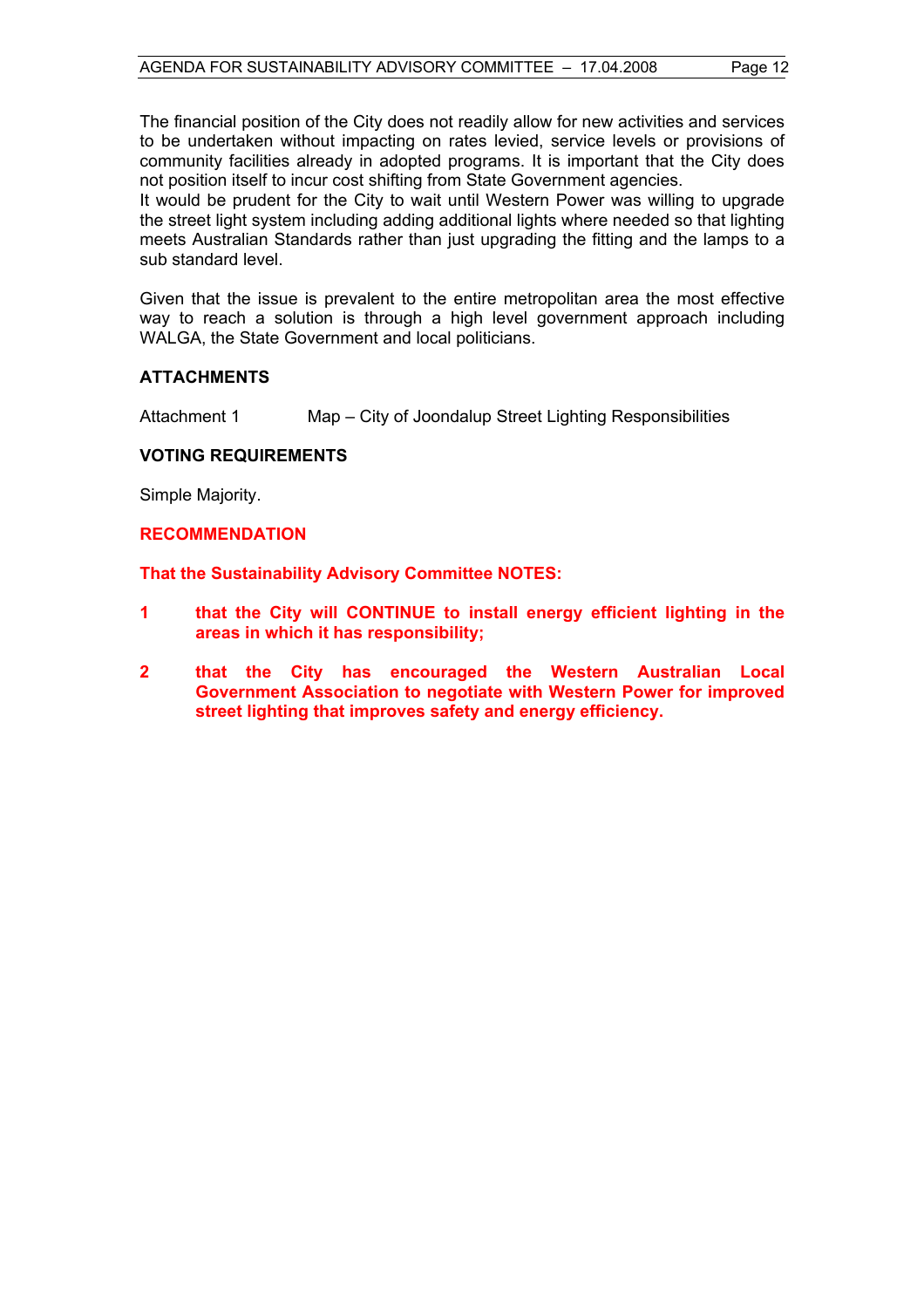The financial position of the City does not readily allow for new activities and services to be undertaken without impacting on rates levied, service levels or provisions of community facilities already in adopted programs. It is important that the City does not position itself to incur cost shifting from State Government agencies.

It would be prudent for the City to wait until Western Power was willing to upgrade the street light system including adding additional lights where needed so that lighting meets Australian Standards rather than just upgrading the fitting and the lamps to a sub standard level.

Given that the issue is prevalent to the entire metropolitan area the most effective way to reach a solution is through a high level government approach including WALGA, the State Government and local politicians.

#### **ATTACHMENTS**

Attachment 1 Map – City of Joondalup Street Lighting Responsibilities

#### **VOTING REQUIREMENTS**

Simple Majority.

#### **RECOMMENDATION**

**That the Sustainability Advisory Committee NOTES:** 

- **1 that the City will CONTINUE to install energy efficient lighting in the areas in which it has responsibility;**
- **2 that the City has encouraged the Western Australian Local Government Association to negotiate with Western Power for improved street lighting that improves safety and energy efficiency.**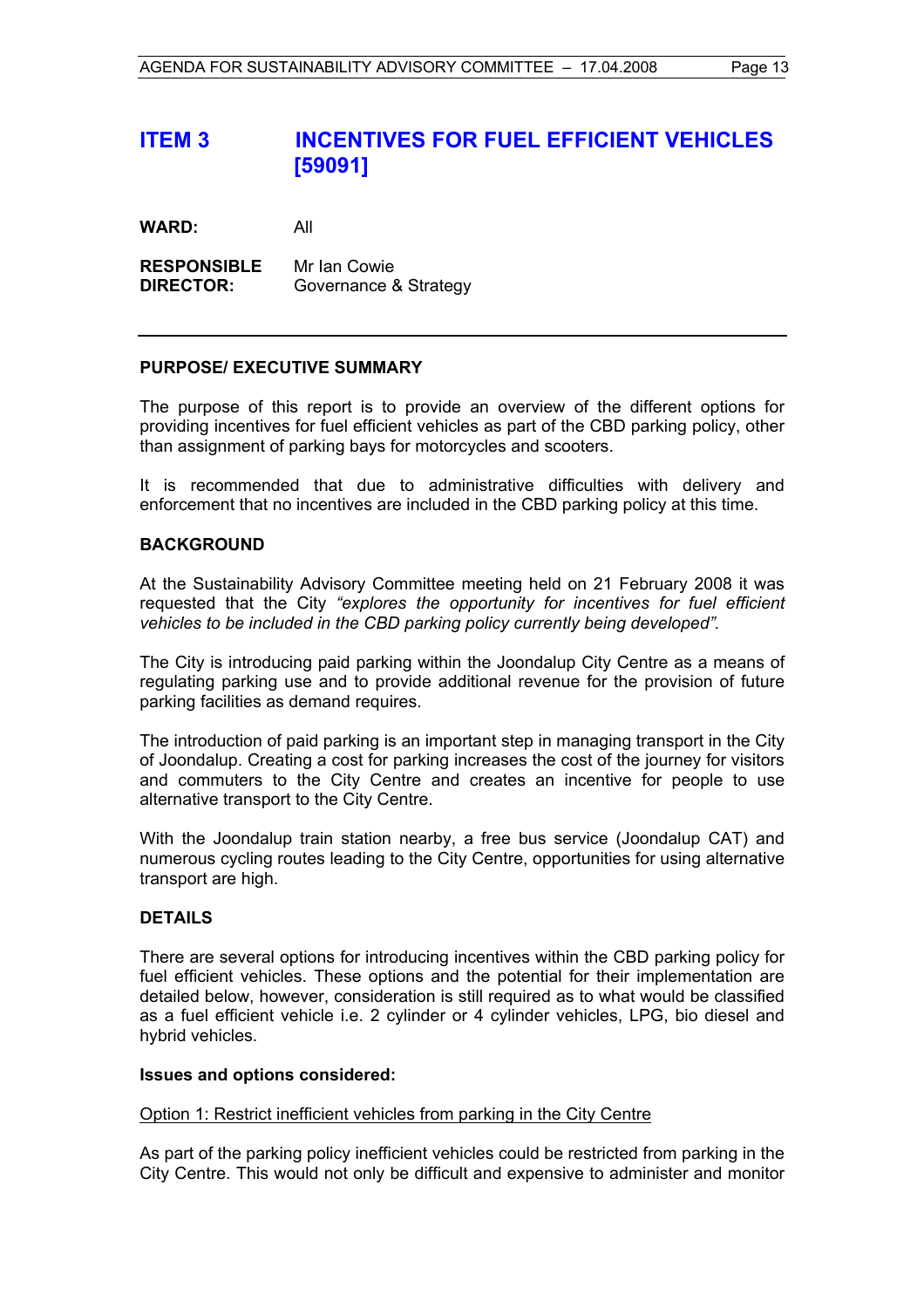# **ITEM 3 INCENTIVES FOR FUEL EFFICIENT VEHICLES [59091]**

**WARD:** All

**RESPONSIBLE** Mr Ian Cowie **DIRECTOR:** Governance & Strategy

#### **PURPOSE/ EXECUTIVE SUMMARY**

The purpose of this report is to provide an overview of the different options for providing incentives for fuel efficient vehicles as part of the CBD parking policy, other than assignment of parking bays for motorcycles and scooters.

It is recommended that due to administrative difficulties with delivery and enforcement that no incentives are included in the CBD parking policy at this time.

#### **BACKGROUND**

At the Sustainability Advisory Committee meeting held on 21 February 2008 it was requested that the City *"explores the opportunity for incentives for fuel efficient vehicles to be included in the CBD parking policy currently being developed".*

The City is introducing paid parking within the Joondalup City Centre as a means of regulating parking use and to provide additional revenue for the provision of future parking facilities as demand requires.

The introduction of paid parking is an important step in managing transport in the City of Joondalup. Creating a cost for parking increases the cost of the journey for visitors and commuters to the City Centre and creates an incentive for people to use alternative transport to the City Centre.

With the Joondalup train station nearby, a free bus service (Joondalup CAT) and numerous cycling routes leading to the City Centre, opportunities for using alternative transport are high.

#### **DETAILS**

There are several options for introducing incentives within the CBD parking policy for fuel efficient vehicles. These options and the potential for their implementation are detailed below, however, consideration is still required as to what would be classified as a fuel efficient vehicle i.e. 2 cylinder or 4 cylinder vehicles, LPG, bio diesel and hybrid vehicles.

#### **Issues and options considered:**

#### Option 1: Restrict inefficient vehicles from parking in the City Centre

As part of the parking policy inefficient vehicles could be restricted from parking in the City Centre. This would not only be difficult and expensive to administer and monitor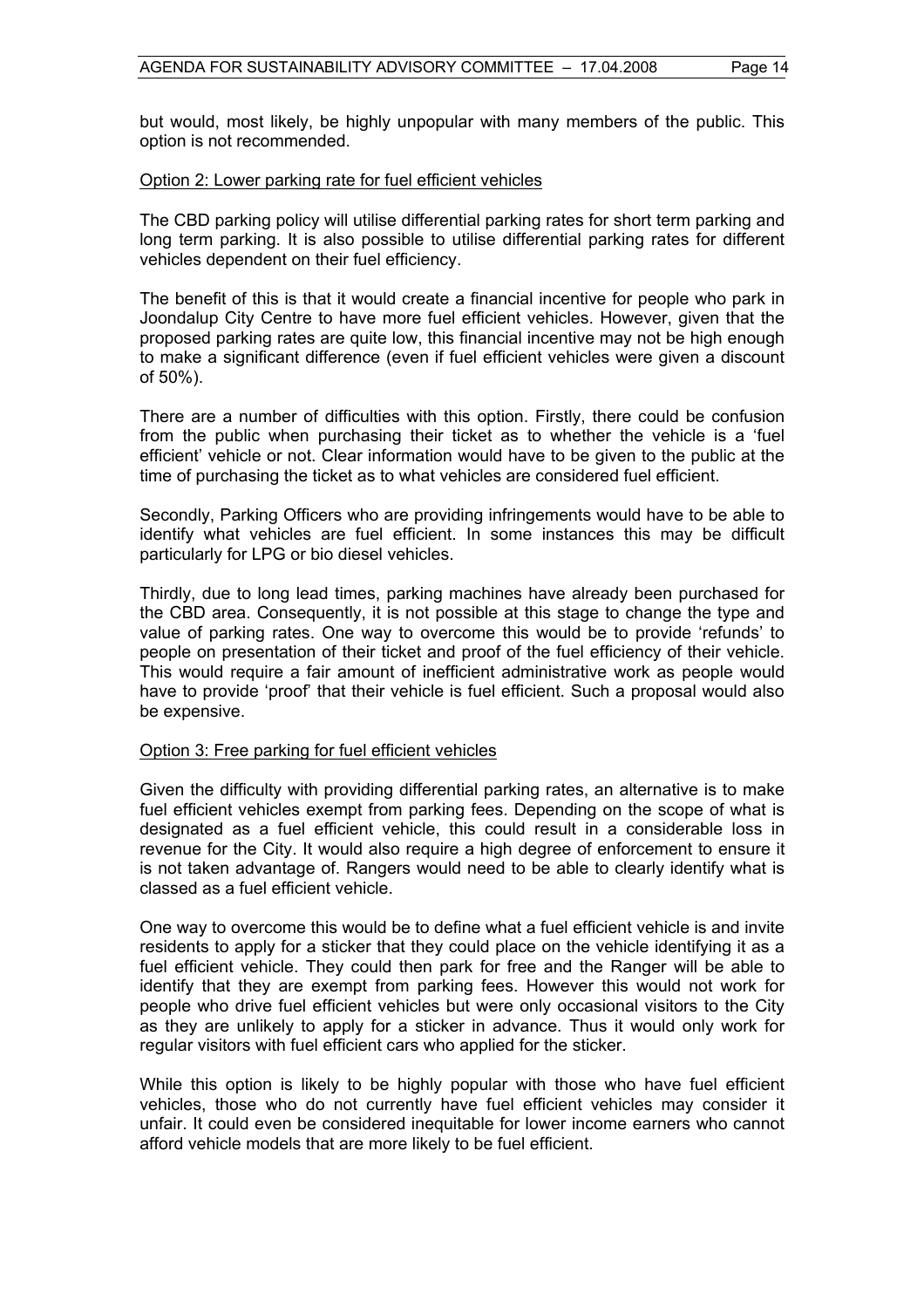but would, most likely, be highly unpopular with many members of the public. This option is not recommended.

#### Option 2: Lower parking rate for fuel efficient vehicles

The CBD parking policy will utilise differential parking rates for short term parking and long term parking. It is also possible to utilise differential parking rates for different vehicles dependent on their fuel efficiency.

The benefit of this is that it would create a financial incentive for people who park in Joondalup City Centre to have more fuel efficient vehicles. However, given that the proposed parking rates are quite low, this financial incentive may not be high enough to make a significant difference (even if fuel efficient vehicles were given a discount of 50%).

There are a number of difficulties with this option. Firstly, there could be confusion from the public when purchasing their ticket as to whether the vehicle is a 'fuel efficient' vehicle or not. Clear information would have to be given to the public at the time of purchasing the ticket as to what vehicles are considered fuel efficient.

Secondly, Parking Officers who are providing infringements would have to be able to identify what vehicles are fuel efficient. In some instances this may be difficult particularly for LPG or bio diesel vehicles.

Thirdly, due to long lead times, parking machines have already been purchased for the CBD area. Consequently, it is not possible at this stage to change the type and value of parking rates. One way to overcome this would be to provide 'refunds' to people on presentation of their ticket and proof of the fuel efficiency of their vehicle. This would require a fair amount of inefficient administrative work as people would have to provide 'proof' that their vehicle is fuel efficient. Such a proposal would also be expensive.

#### Option 3: Free parking for fuel efficient vehicles

Given the difficulty with providing differential parking rates, an alternative is to make fuel efficient vehicles exempt from parking fees. Depending on the scope of what is designated as a fuel efficient vehicle, this could result in a considerable loss in revenue for the City. It would also require a high degree of enforcement to ensure it is not taken advantage of. Rangers would need to be able to clearly identify what is classed as a fuel efficient vehicle.

One way to overcome this would be to define what a fuel efficient vehicle is and invite residents to apply for a sticker that they could place on the vehicle identifying it as a fuel efficient vehicle. They could then park for free and the Ranger will be able to identify that they are exempt from parking fees. However this would not work for people who drive fuel efficient vehicles but were only occasional visitors to the City as they are unlikely to apply for a sticker in advance. Thus it would only work for regular visitors with fuel efficient cars who applied for the sticker.

While this option is likely to be highly popular with those who have fuel efficient vehicles, those who do not currently have fuel efficient vehicles may consider it unfair. It could even be considered inequitable for lower income earners who cannot afford vehicle models that are more likely to be fuel efficient.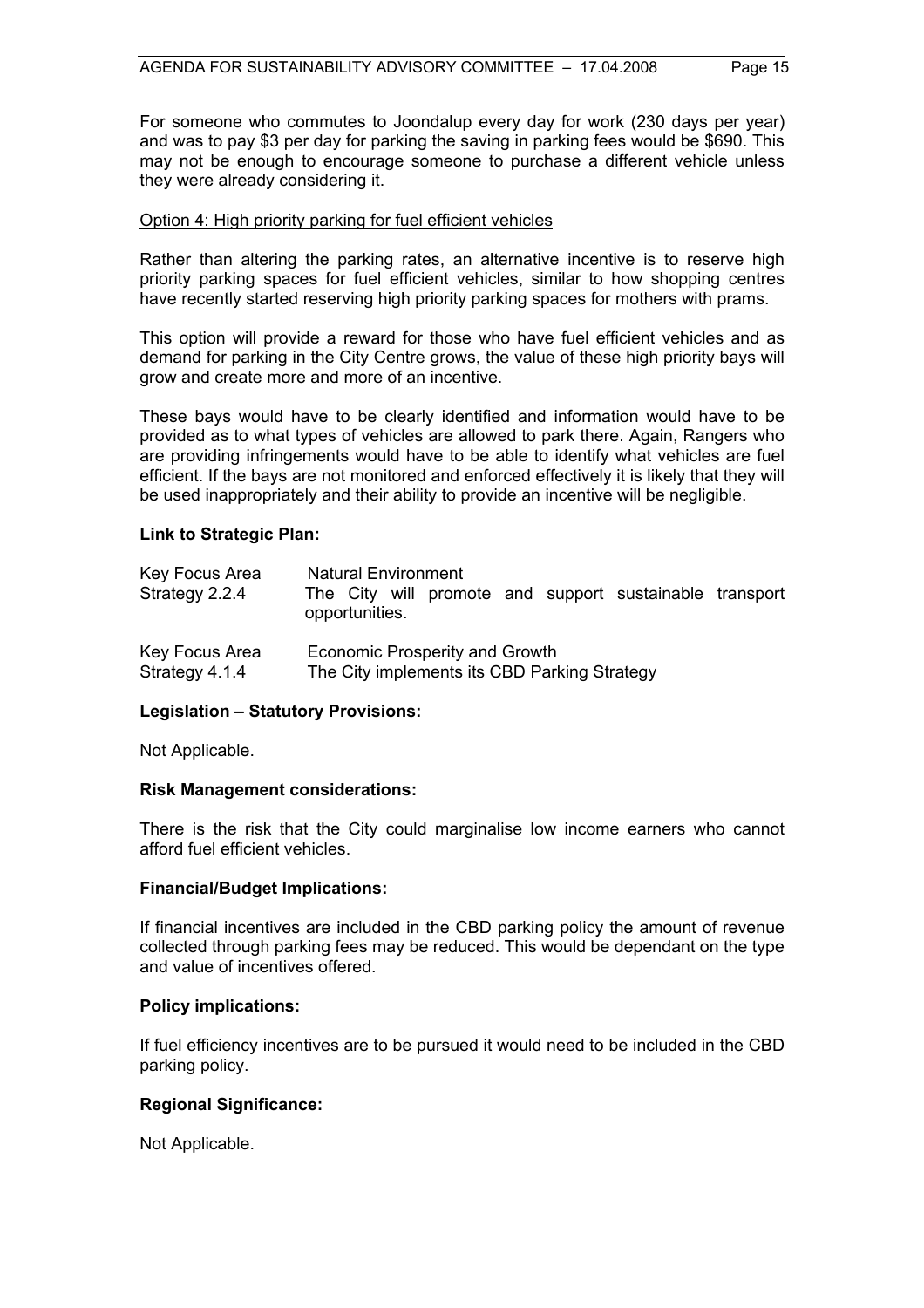For someone who commutes to Joondalup every day for work (230 days per year) and was to pay \$3 per day for parking the saving in parking fees would be \$690. This may not be enough to encourage someone to purchase a different vehicle unless they were already considering it.

#### Option 4: High priority parking for fuel efficient vehicles

Rather than altering the parking rates, an alternative incentive is to reserve high priority parking spaces for fuel efficient vehicles, similar to how shopping centres have recently started reserving high priority parking spaces for mothers with prams.

This option will provide a reward for those who have fuel efficient vehicles and as demand for parking in the City Centre grows, the value of these high priority bays will grow and create more and more of an incentive.

These bays would have to be clearly identified and information would have to be provided as to what types of vehicles are allowed to park there. Again, Rangers who are providing infringements would have to be able to identify what vehicles are fuel efficient. If the bays are not monitored and enforced effectively it is likely that they will be used inappropriately and their ability to provide an incentive will be negligible.

#### **Link to Strategic Plan:**

| Key Focus Area<br>Strategy 2.2.4 | <b>Natural Environment</b><br>The City will promote and support sustainable transport<br>opportunities. |
|----------------------------------|---------------------------------------------------------------------------------------------------------|
| Key Focus Area                   | <b>Economic Prosperity and Growth</b>                                                                   |
| Strategy 4.1.4                   | The City implements its CBD Parking Strategy                                                            |

#### **Legislation – Statutory Provisions:**

Not Applicable.

#### **Risk Management considerations:**

There is the risk that the City could marginalise low income earners who cannot afford fuel efficient vehicles.

#### **Financial/Budget Implications:**

If financial incentives are included in the CBD parking policy the amount of revenue collected through parking fees may be reduced. This would be dependant on the type and value of incentives offered.

#### **Policy implications:**

If fuel efficiency incentives are to be pursued it would need to be included in the CBD parking policy.

# **Regional Significance:**

Not Applicable.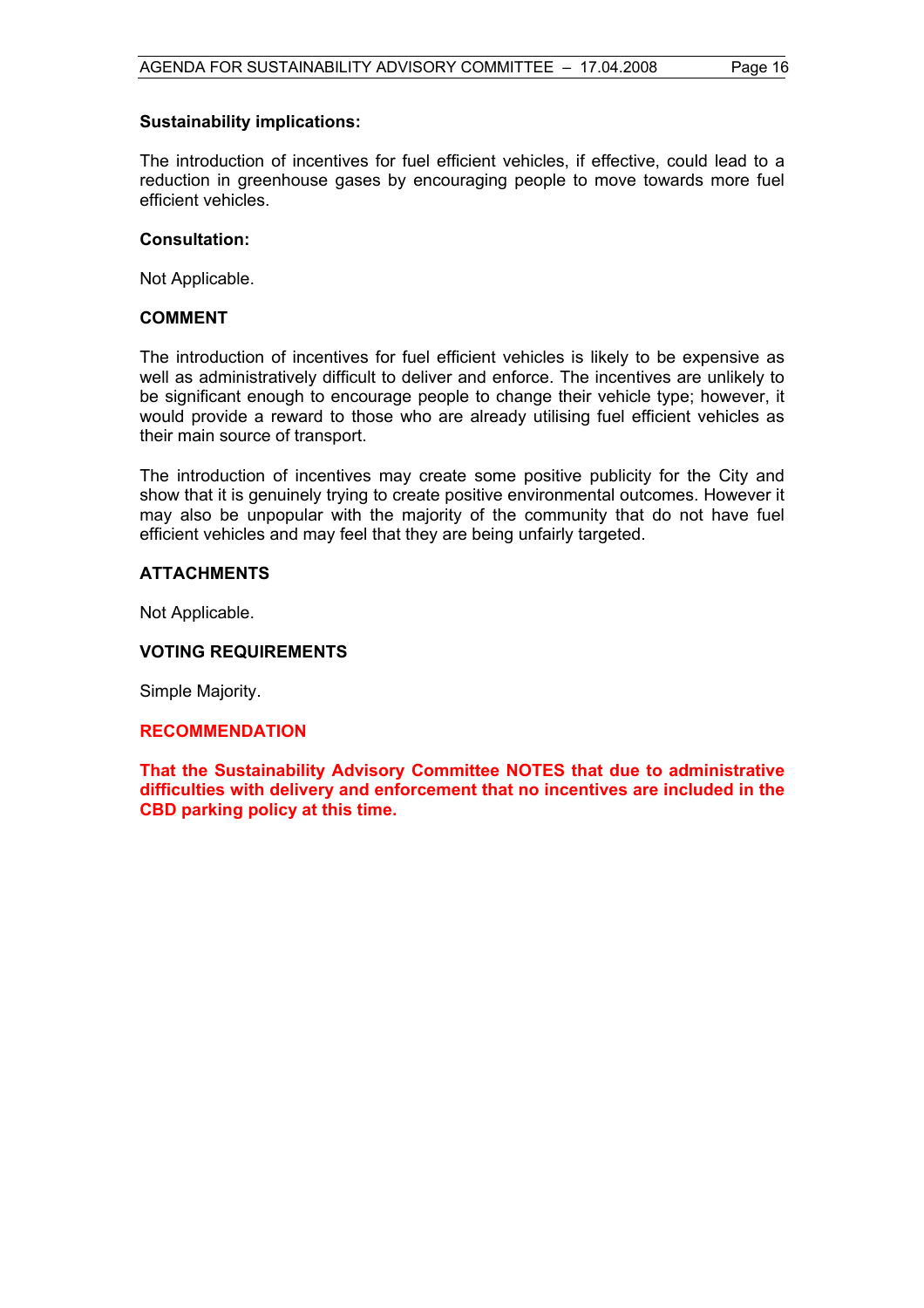#### **Sustainability implications:**

The introduction of incentives for fuel efficient vehicles, if effective, could lead to a reduction in greenhouse gases by encouraging people to move towards more fuel efficient vehicles.

#### **Consultation:**

Not Applicable.

### **COMMENT**

The introduction of incentives for fuel efficient vehicles is likely to be expensive as well as administratively difficult to deliver and enforce. The incentives are unlikely to be significant enough to encourage people to change their vehicle type; however, it would provide a reward to those who are already utilising fuel efficient vehicles as their main source of transport.

The introduction of incentives may create some positive publicity for the City and show that it is genuinely trying to create positive environmental outcomes. However it may also be unpopular with the majority of the community that do not have fuel efficient vehicles and may feel that they are being unfairly targeted.

# **ATTACHMENTS**

Not Applicable.

# **VOTING REQUIREMENTS**

Simple Majority.

# **RECOMMENDATION**

**That the Sustainability Advisory Committee NOTES that due to administrative difficulties with delivery and enforcement that no incentives are included in the CBD parking policy at this time.**